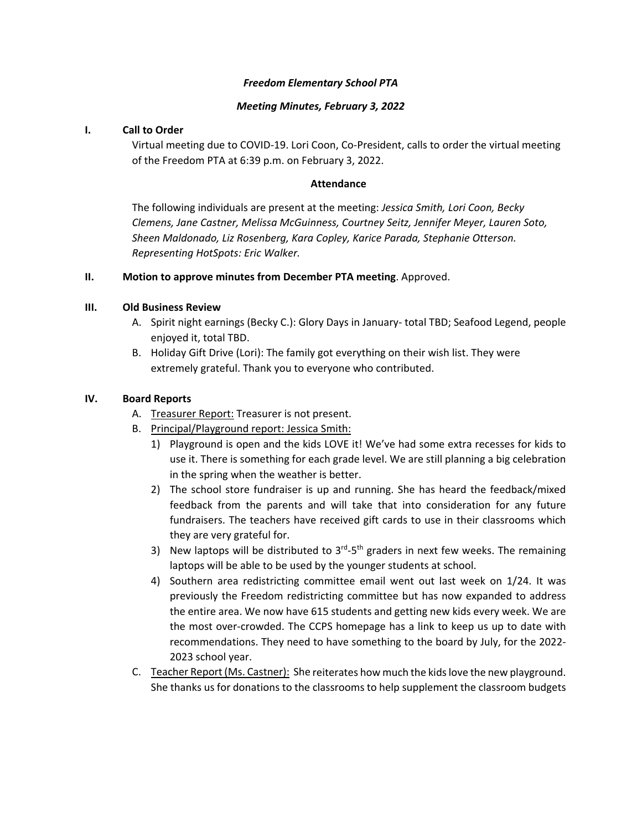#### *Freedom Elementary School PTA*

#### *Meeting Minutes, February 3, 2022*

# **I. Call to Order**

Virtual meeting due to COVID‐19. Lori Coon, Co‐President, calls to order the virtual meeting of the Freedom PTA at 6:39 p.m. on February 3, 2022.

#### **Attendance**

The following individuals are present at the meeting: *Jessica Smith, Lori Coon, Becky Clemens, Jane Castner, Melissa McGuinness, Courtney Seitz, Jennifer Meyer, Lauren Soto, Sheen Maldonado, Liz Rosenberg, Kara Copley, Karice Parada, Stephanie Otterson. Representing HotSpots: Eric Walker.* 

# **II. Motion to approve minutes from December PTA meeting**. Approved.

# **III. Old Business Review**

- A. Spirit night earnings (Becky C.): Glory Days in January‐ total TBD; Seafood Legend, people enjoyed it, total TBD.
- B. Holiday Gift Drive (Lori): The family got everything on their wish list. They were extremely grateful. Thank you to everyone who contributed.

# **IV. Board Reports**

- A. Treasurer Report: Treasurer is not present.
- B. Principal/Playground report: Jessica Smith:
	- 1) Playground is open and the kids LOVE it! We've had some extra recesses for kids to use it. There is something for each grade level. We are still planning a big celebration in the spring when the weather is better.
	- 2) The school store fundraiser is up and running. She has heard the feedback/mixed feedback from the parents and will take that into consideration for any future fundraisers. The teachers have received gift cards to use in their classrooms which they are very grateful for.
	- 3) New laptops will be distributed to  $3<sup>rd</sup>$ - $5<sup>th</sup>$  graders in next few weeks. The remaining laptops will be able to be used by the younger students at school.
	- 4) Southern area redistricting committee email went out last week on 1/24. It was previously the Freedom redistricting committee but has now expanded to address the entire area. We now have 615 students and getting new kids every week. We are the most over‐crowded. The CCPS homepage has a link to keep us up to date with recommendations. They need to have something to the board by July, for the 2022‐ 2023 school year.
- C. Teacher Report (Ms. Castner): She reiterates how much the kidslove the new playground. She thanks us for donations to the classrooms to help supplement the classroom budgets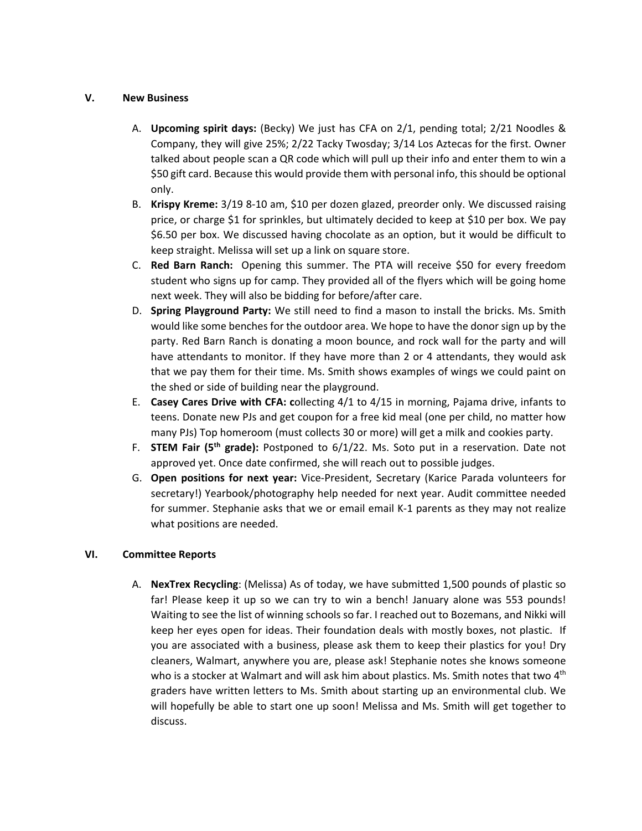#### **V. New Business**

- A. **Upcoming spirit days:** (Becky) We just has CFA on 2/1, pending total; 2/21 Noodles & Company, they will give 25%; 2/22 Tacky Twosday; 3/14 Los Aztecas for the first. Owner talked about people scan a QR code which will pull up their info and enter them to win a \$50 gift card. Because this would provide them with personal info, thisshould be optional only.
- B. **Krispy Kreme:** 3/19 8‐10 am, \$10 per dozen glazed, preorder only. We discussed raising price, or charge \$1 for sprinkles, but ultimately decided to keep at \$10 per box. We pay \$6.50 per box. We discussed having chocolate as an option, but it would be difficult to keep straight. Melissa will set up a link on square store.
- C. **Red Barn Ranch:** Opening this summer. The PTA will receive \$50 for every freedom student who signs up for camp. They provided all of the flyers which will be going home next week. They will also be bidding for before/after care.
- D. **Spring Playground Party:** We still need to find a mason to install the bricks. Ms. Smith would like some benches for the outdoor area. We hope to have the donor sign up by the party. Red Barn Ranch is donating a moon bounce, and rock wall for the party and will have attendants to monitor. If they have more than 2 or 4 attendants, they would ask that we pay them for their time. Ms. Smith shows examples of wings we could paint on the shed or side of building near the playground.
- E. **Casey Cares Drive with CFA: c**ollecting 4/1 to 4/15 in morning, Pajama drive, infants to teens. Donate new PJs and get coupon for a free kid meal (one per child, no matter how many PJs) Top homeroom (must collects 30 or more) will get a milk and cookies party.
- F. **STEM Fair (5th grade):** Postponed to 6/1/22. Ms. Soto put in a reservation. Date not approved yet. Once date confirmed, she will reach out to possible judges.
- G. **Open positions for next year:** Vice‐President, Secretary (Karice Parada volunteers for secretary!) Yearbook/photography help needed for next year. Audit committee needed for summer. Stephanie asks that we or email email K-1 parents as they may not realize what positions are needed.

# **VI. Committee Reports**

A. **NexTrex Recycling**: (Melissa) As of today, we have submitted 1,500 pounds of plastic so far! Please keep it up so we can try to win a bench! January alone was 553 pounds! Waiting to see the list of winning schools so far. I reached out to Bozemans, and Nikki will keep her eyes open for ideas. Their foundation deals with mostly boxes, not plastic. If you are associated with a business, please ask them to keep their plastics for you! Dry cleaners, Walmart, anywhere you are, please ask! Stephanie notes she knows someone who is a stocker at Walmart and will ask him about plastics. Ms. Smith notes that two 4<sup>th</sup> graders have written letters to Ms. Smith about starting up an environmental club. We will hopefully be able to start one up soon! Melissa and Ms. Smith will get together to discuss.